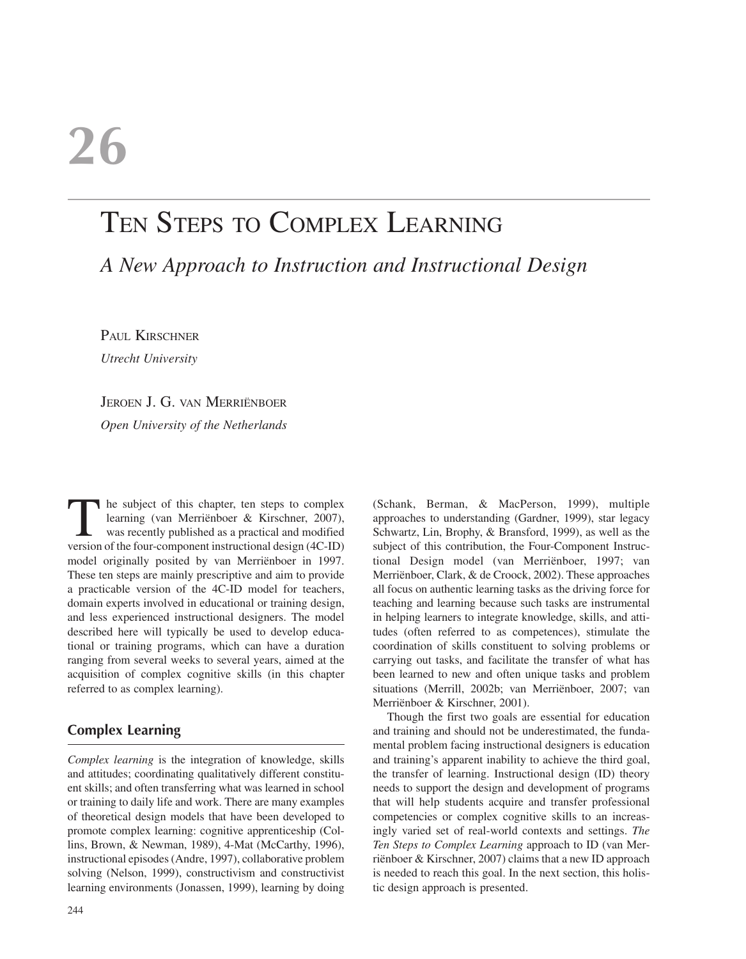# Ten Steps to Complex Learning

*A New Approach to Instruction and Instructional Design*

PAUL KIRSCHNER

*Utrecht University*

Jeroen J. G. van Merriënboer

*Open University of the Netherlands*

The subject of this chapter, ten steps to complex<br>learning (van Merriënboer & Kirschner, 2007),<br>was recently published as a practical and modified<br>varior of the four component instructional deciments (4C ID) learning (van Merriënboer & Kirschner, 2007), was recently published as a practical and modified version of the four-component instructional design (4C-ID) model originally posited by van Merriënboer in 1997. These ten steps are mainly prescriptive and aim to provide a practicable version of the 4C-ID model for teachers, domain experts involved in educational or training design, and less experienced instructional designers. The model described here will typically be used to develop educational or training programs, which can have a duration ranging from several weeks to several years, aimed at the acquisition of complex cognitive skills (in this chapter referred to as complex learning).

# **Complex Learning**

*Complex learning* is the integration of knowledge, skills and attitudes; coordinating qualitatively different constituent skills; and often transferring what was learned in school or training to daily life and work. There are many examples of theoretical design models that have been developed to promote complex learning: cognitive apprenticeship (Collins, Brown, & Newman, 1989), 4-Mat (McCarthy, 1996), instructional episodes (Andre, 1997), collaborative problem solving (Nelson, 1999), constructivism and constructivist learning environments (Jonassen, 1999), learning by doing Schwartz, Lin, Brophy, & Bransford, 1999), as well as the subject of this contribution, the Four-Component Instructional Design model (van Merriënboer, 1997; van Merriënboer, Clark, & de Croock, 2002). These approaches all focus on authentic learning tasks as the driving force for teaching and learning because such tasks are instrumental in helping learners to integrate knowledge, skills, and attitudes (often referred to as competences), stimulate the coordination of skills constituent to solving problems or carrying out tasks, and facilitate the transfer of what has been learned to new and often unique tasks and problem situations (Merrill, 2002b; van Merriënboer, 2007; van Merriënboer & Kirschner, 2001). Though the first two goals are essential for education

(Schank, Berman, & MacPerson, 1999), multiple approaches to understanding (Gardner, 1999), star legacy

and training and should not be underestimated, the fundamental problem facing instructional designers is education and training's apparent inability to achieve the third goal, the transfer of learning. Instructional design (ID) theory needs to support the design and development of programs that will help students acquire and transfer professional competencies or complex cognitive skills to an increasingly varied set of real-world contexts and settings. *The Ten Steps to Complex Learning* approach to ID (van Merriënboer & Kirschner, 2007) claims that a new ID approach is needed to reach this goal. In the next section, this holistic design approach is presented.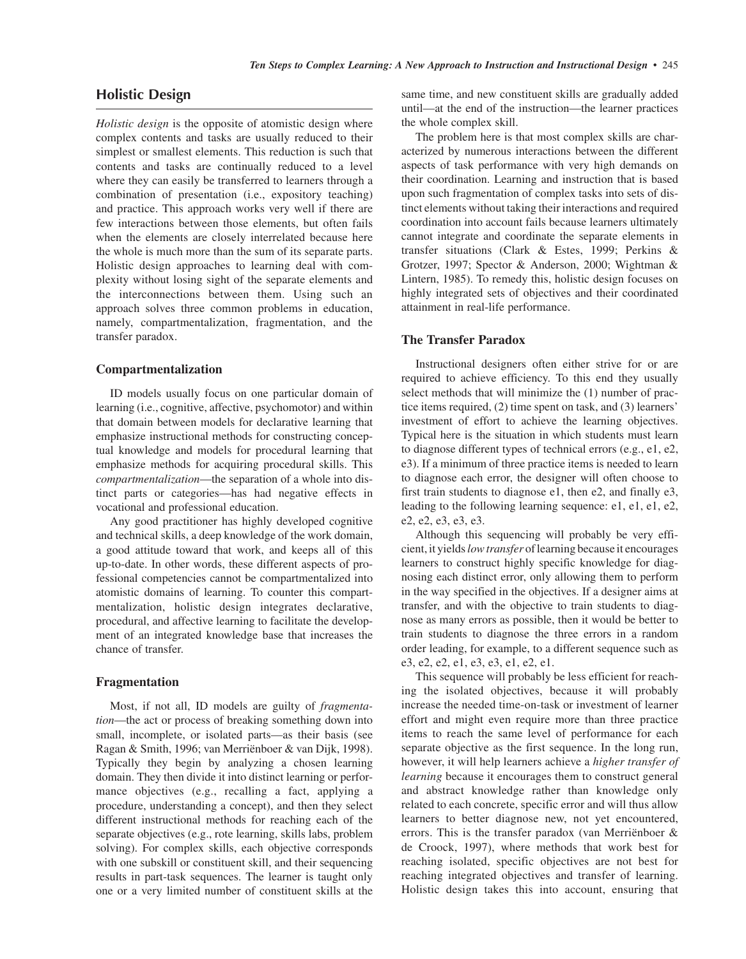## **Holistic Design**

*Holistic design* is the opposite of atomistic design where complex contents and tasks are usually reduced to their simplest or smallest elements. This reduction is such that contents and tasks are continually reduced to a level where they can easily be transferred to learners through a combination of presentation (i.e., expository teaching) and practice. This approach works very well if there are few interactions between those elements, but often fails when the elements are closely interrelated because here the whole is much more than the sum of its separate parts. Holistic design approaches to learning deal with complexity without losing sight of the separate elements and the interconnections between them. Using such an approach solves three common problems in education, namely, compartmentalization, fragmentation, and the transfer paradox.

#### **Compartmentalization**

ID models usually focus on one particular domain of learning (i.e., cognitive, affective, psychomotor) and within that domain between models for declarative learning that emphasize instructional methods for constructing conceptual knowledge and models for procedural learning that emphasize methods for acquiring procedural skills. This *compartmentalization*—the separation of a whole into distinct parts or categories—has had negative effects in vocational and professional education.

Any good practitioner has highly developed cognitive and technical skills, a deep knowledge of the work domain, a good attitude toward that work, and keeps all of this up-to-date. In other words, these different aspects of professional competencies cannot be compartmentalized into atomistic domains of learning. To counter this compartmentalization, holistic design integrates declarative, procedural, and affective learning to facilitate the development of an integrated knowledge base that increases the chance of transfer.

#### **Fragmentation**

Most, if not all, ID models are guilty of *fragmentation*—the act or process of breaking something down into small, incomplete, or isolated parts—as their basis (see Ragan & Smith, 1996; van Merriënboer & van Dijk, 1998). Typically they begin by analyzing a chosen learning domain. They then divide it into distinct learning or performance objectives (e.g., recalling a fact, applying a procedure, understanding a concept), and then they select different instructional methods for reaching each of the separate objectives (e.g., rote learning, skills labs, problem solving). For complex skills, each objective corresponds with one subskill or constituent skill, and their sequencing results in part-task sequences. The learner is taught only one or a very limited number of constituent skills at the same time, and new constituent skills are gradually added until—at the end of the instruction—the learner practices the whole complex skill.

The problem here is that most complex skills are characterized by numerous interactions between the different aspects of task performance with very high demands on their coordination. Learning and instruction that is based upon such fragmentation of complex tasks into sets of distinct elements without taking their interactions and required coordination into account fails because learners ultimately cannot integrate and coordinate the separate elements in transfer situations (Clark & Estes, 1999; Perkins & Grotzer, 1997; Spector & Anderson, 2000; Wightman & Lintern, 1985). To remedy this, holistic design focuses on highly integrated sets of objectives and their coordinated attainment in real-life performance.

#### **The Transfer Paradox**

Instructional designers often either strive for or are required to achieve efficiency. To this end they usually select methods that will minimize the (1) number of practice items required, (2) time spent on task, and (3) learners' investment of effort to achieve the learning objectives. Typical here is the situation in which students must learn to diagnose different types of technical errors (e.g., e1, e2, e3). If a minimum of three practice items is needed to learn to diagnose each error, the designer will often choose to first train students to diagnose e1, then e2, and finally e3, leading to the following learning sequence: e1, e1, e1, e2, e2, e2, e3, e3, e3.

Although this sequencing will probably be very efficient, it yields *low transfer* of learning because it encourages learners to construct highly specific knowledge for diagnosing each distinct error, only allowing them to perform in the way specified in the objectives. If a designer aims at transfer, and with the objective to train students to diagnose as many errors as possible, then it would be better to train students to diagnose the three errors in a random order leading, for example, to a different sequence such as e3, e2, e2, e1, e3, e3, e1, e2, e1.

This sequence will probably be less efficient for reaching the isolated objectives, because it will probably increase the needed time-on-task or investment of learner effort and might even require more than three practice items to reach the same level of performance for each separate objective as the first sequence. In the long run, however, it will help learners achieve a *higher transfer of learning* because it encourages them to construct general and abstract knowledge rather than knowledge only related to each concrete, specific error and will thus allow learners to better diagnose new, not yet encountered, errors. This is the transfer paradox (van Merriënboer & de Croock, 1997), where methods that work best for reaching isolated, specific objectives are not best for reaching integrated objectives and transfer of learning. Holistic design takes this into account, ensuring that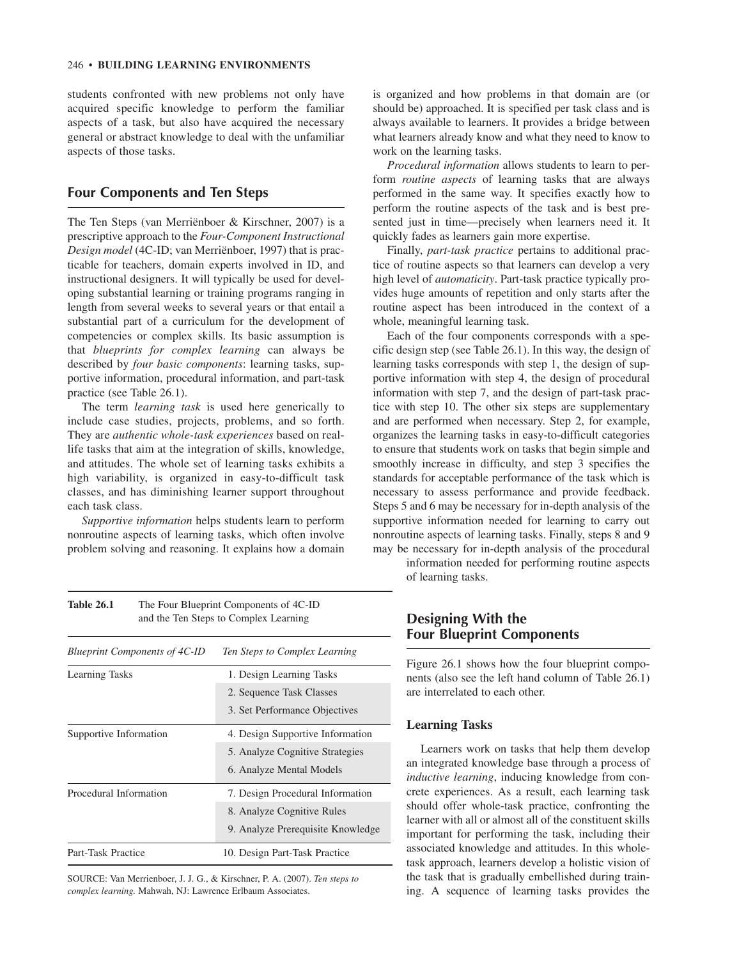students confronted with new problems not only have acquired specific knowledge to perform the familiar aspects of a task, but also have acquired the necessary general or abstract knowledge to deal with the unfamiliar aspects of those tasks.

# **Four Components and Ten Steps**

The Ten Steps (van Merriënboer & Kirschner, 2007) is a prescriptive approach to the *Four-Component Instructional Design model* (4C-ID; van Merriënboer, 1997) that is practicable for teachers, domain experts involved in ID, and instructional designers. It will typically be used for developing substantial learning or training programs ranging in length from several weeks to several years or that entail a substantial part of a curriculum for the development of competencies or complex skills. Its basic assumption is that *blueprints for complex learning* can always be described by *four basic components*: learning tasks, supportive information, procedural information, and part-task practice (see Table 26.1).

The term *learning task* is used here generically to include case studies, projects, problems, and so forth. They are *authentic whole-task experiences* based on reallife tasks that aim at the integration of skills, knowledge, and attitudes. The whole set of learning tasks exhibits a high variability, is organized in easy-to-difficult task classes, and has diminishing learner support throughout each task class.

*Supportive information* helps students learn to perform nonroutine aspects of learning tasks, which often involve problem solving and reasoning. It explains how a domain

**Table 26.1**  The Four Blueprint Components of 4C-ID

| Blueprint Components of 4C-ID | Ten Steps to Complex Learning     |
|-------------------------------|-----------------------------------|
| <b>Learning Tasks</b>         | 1. Design Learning Tasks          |
|                               | 2. Sequence Task Classes          |
|                               | 3. Set Performance Objectives     |
| Supportive Information        | 4. Design Supportive Information  |
|                               | 5. Analyze Cognitive Strategies   |
|                               | 6. Analyze Mental Models          |
| Procedural Information        | 7. Design Procedural Information  |
|                               | 8. Analyze Cognitive Rules        |
|                               | 9. Analyze Prerequisite Knowledge |
| Part-Task Practice            | 10. Design Part-Task Practice     |

and the Ten Steps to Complex Learning

Source: Van Merrienboer, J. J. G., & Kirschner, P. A. (2007). *Ten steps to complex learning.* Mahwah, NJ: Lawrence Erlbaum Associates.

is organized and how problems in that domain are (or should be) approached. It is specified per task class and is always available to learners. It provides a bridge between what learners already know and what they need to know to work on the learning tasks.

*Procedural information* allows students to learn to perform *routine aspects* of learning tasks that are always performed in the same way. It specifies exactly how to perform the routine aspects of the task and is best presented just in time—precisely when learners need it. It quickly fades as learners gain more expertise.

Finally, *part-task practice* pertains to additional practice of routine aspects so that learners can develop a very high level of *automaticity*. Part-task practice typically provides huge amounts of repetition and only starts after the routine aspect has been introduced in the context of a whole, meaningful learning task.

Each of the four components corresponds with a specific design step (see Table 26.1). In this way, the design of learning tasks corresponds with step 1, the design of supportive information with step 4, the design of procedural information with step 7, and the design of part-task practice with step 10. The other six steps are supplementary and are performed when necessary. Step 2, for example, organizes the learning tasks in easy-to-difficult categories to ensure that students work on tasks that begin simple and smoothly increase in difficulty, and step 3 specifies the standards for acceptable performance of the task which is necessary to assess performance and provide feedback. Steps 5 and 6 may be necessary for in-depth analysis of the supportive information needed for learning to carry out nonroutine aspects of learning tasks. Finally, steps 8 and 9 may be necessary for in-depth analysis of the procedural information needed for performing routine aspects

of learning tasks.

# **Designing With the Four Blueprint Components**

Figure 26.1 shows how the four blueprint components (also see the left hand column of Table 26.1) are interrelated to each other.

#### **Learning Tasks**

Learners work on tasks that help them develop an integrated knowledge base through a process of *inductive learning*, inducing knowledge from concrete experiences. As a result, each learning task should offer whole-task practice, confronting the learner with all or almost all of the constituent skills important for performing the task, including their associated knowledge and attitudes. In this wholetask approach, learners develop a holistic vision of the task that is gradually embellished during training. A sequence of learning tasks provides the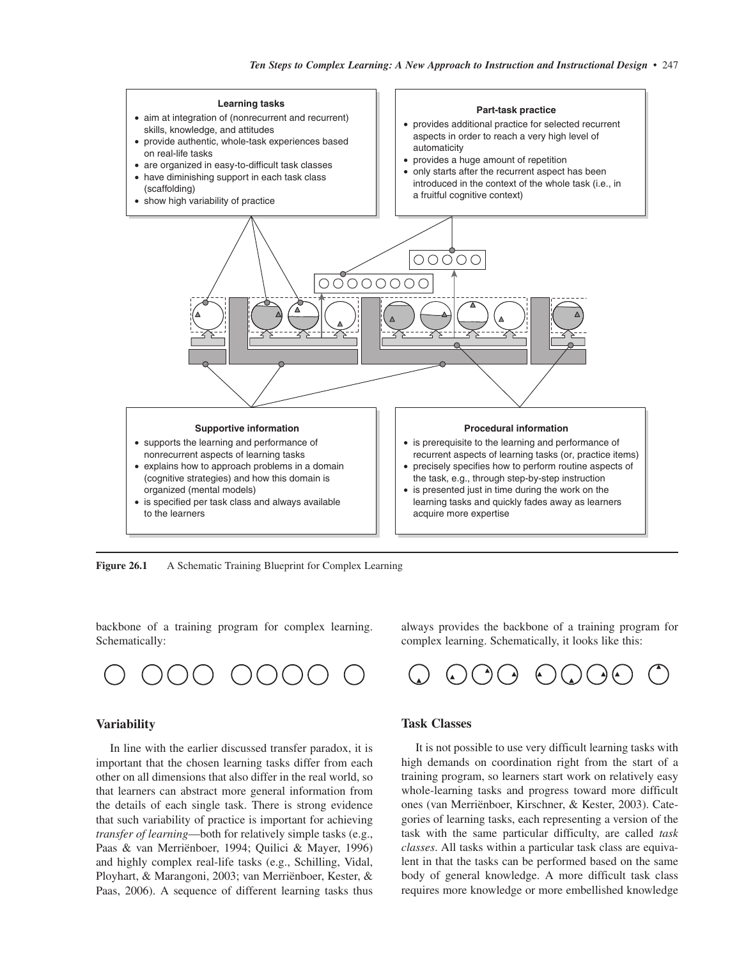

**Figure 26.1** A Schematic Training Blueprint for Complex Learning

backbone of a training program for complex learning. Schematically:



#### **Variability**

In line with the earlier discussed transfer paradox, it is important that the chosen learning tasks differ from each other on all dimensions that also differ in the real world, so that learners can abstract more general information from the details of each single task. There is strong evidence that such variability of practice is important for achieving *transfer of learning*—both for relatively simple tasks (e.g., Paas & van Merriënboer, 1994; Quilici & Mayer, 1996) and highly complex real-life tasks (e.g., Schilling, Vidal, Ployhart, & Marangoni, 2003; van Merriënboer, Kester, & Paas, 2006). A sequence of different learning tasks thus

always provides the backbone of a training program for complex learning. Schematically, it looks like this:



#### **Task Classes**

It is not possible to use very difficult learning tasks with high demands on coordination right from the start of a training program, so learners start work on relatively easy whole-learning tasks and progress toward more difficult ones (van Merriënboer, Kirschner, & Kester, 2003). Categories of learning tasks, each representing a version of the task with the same particular difficulty, are called *task classes*. All tasks within a particular task class are equivalent in that the tasks can be performed based on the same body of general knowledge. A more difficult task class requires more knowledge or more embellished knowledge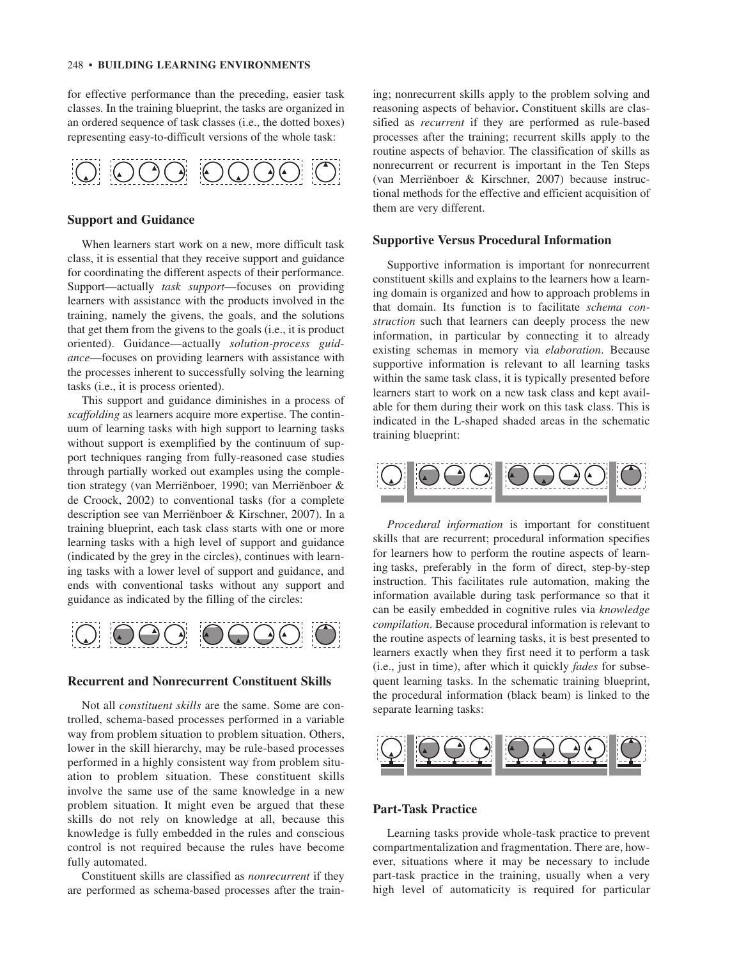for effective performance than the preceding, easier task classes. In the training blueprint, the tasks are organized in an ordered sequence of task classes (i.e., the dotted boxes) representing easy-to-difficult versions of the whole task:



#### **Support and Guidance**

When learners start work on a new, more difficult task class, it is essential that they receive support and guidance for coordinating the different aspects of their performance. Support—actually *task support*—focuses on providing learners with assistance with the products involved in the training, namely the givens, the goals, and the solutions that get them from the givens to the goals (i.e., it is product oriented). Guidance—actually *solution-process guidance*—focuses on providing learners with assistance with the processes inherent to successfully solving the learning tasks (i.e., it is process oriented).

This support and guidance diminishes in a process of *scaffolding* as learners acquire more expertise. The continuum of learning tasks with high support to learning tasks without support is exemplified by the continuum of support techniques ranging from fully-reasoned case studies through partially worked out examples using the completion strategy (van Merriënboer, 1990; van Merriënboer & de Croock, 2002) to conventional tasks (for a complete description see van Merriënboer & Kirschner, 2007). In a training blueprint, each task class starts with one or more learning tasks with a high level of support and guidance (indicated by the grey in the circles), continues with learning tasks with a lower level of support and guidance, and ends with conventional tasks without any support and guidance as indicated by the filling of the circles:



#### **Recurrent and Nonrecurrent Constituent Skills**

Not all *constituent skills* are the same. Some are controlled, schema-based processes performed in a variable way from problem situation to problem situation. Others, lower in the skill hierarchy, may be rule-based processes performed in a highly consistent way from problem situation to problem situation. These constituent skills involve the same use of the same knowledge in a new problem situation. It might even be argued that these skills do not rely on knowledge at all, because this knowledge is fully embedded in the rules and conscious control is not required because the rules have become fully automated.

Constituent skills are classified as *nonrecurrent* if they are performed as schema-based processes after the training; nonrecurrent skills apply to the problem solving and reasoning aspects of behavior**.** Constituent skills are classified as *recurrent* if they are performed as rule-based processes after the training; recurrent skills apply to the routine aspects of behavior. The classification of skills as nonrecurrent or recurrent is important in the Ten Steps (van Merriënboer & Kirschner, 2007) because instructional methods for the effective and efficient acquisition of them are very different.

#### **Supportive Versus Procedural Information**

Supportive information is important for nonrecurrent constituent skills and explains to the learners how a learning domain is organized and how to approach problems in that domain. Its function is to facilitate *schema construction* such that learners can deeply process the new information, in particular by connecting it to already existing schemas in memory via *elaboration*. Because supportive information is relevant to all learning tasks within the same task class, it is typically presented before learners start to work on a new task class and kept available for them during their work on this task class. This is indicated in the L-shaped shaded areas in the schematic training blueprint:



*Procedural information* is important for constituent skills that are recurrent; procedural information specifies for learners how to perform the routine aspects of learning tasks, preferably in the form of direct, step-by-step instruction. This facilitates rule automation, making the information available during task performance so that it can be easily embedded in cognitive rules via *knowledge compilation*. Because procedural information is relevant to the routine aspects of learning tasks, it is best presented to learners exactly when they first need it to perform a task (i.e., just in time), after which it quickly *fades* for subsequent learning tasks. In the schematic training blueprint, the procedural information (black beam) is linked to the separate learning tasks:



#### **Part-Task Practice**

Learning tasks provide whole-task practice to prevent compartmentalization and fragmentation. There are, however, situations where it may be necessary to include part-task practice in the training, usually when a very high level of automaticity is required for particular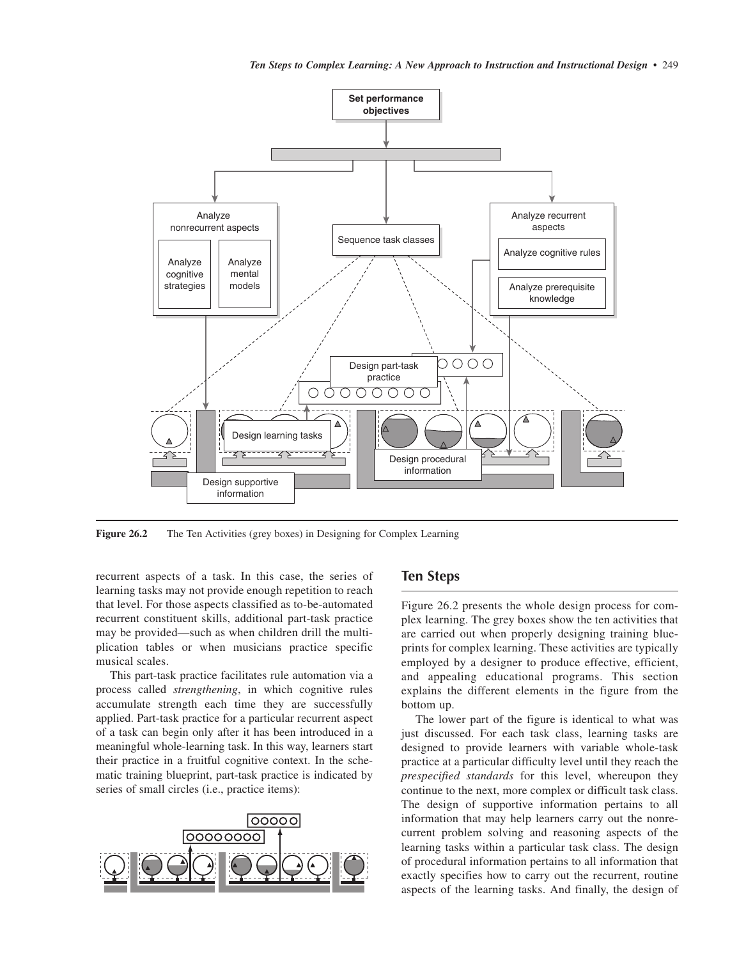

**Figure 26.2** The Ten Activities (grey boxes) in Designing for Complex Learning

recurrent aspects of a task. In this case, the series of learning tasks may not provide enough repetition to reach that level. For those aspects classified as to-be-automated recurrent constituent skills, additional part-task practice may be provided—such as when children drill the multiplication tables or when musicians practice specific musical scales.

This part-task practice facilitates rule automation via a process called *strengthening*, in which cognitive rules accumulate strength each time they are successfully applied. Part-task practice for a particular recurrent aspect of a task can begin only after it has been introduced in a meaningful whole-learning task. In this way, learners start their practice in a fruitful cognitive context. In the schematic training blueprint, part-task practice is indicated by series of small circles (i.e., practice items):



## **Ten Steps**

Figure 26.2 presents the whole design process for complex learning. The grey boxes show the ten activities that are carried out when properly designing training blueprints for complex learning. These activities are typically employed by a designer to produce effective, efficient, and appealing educational programs. This section explains the different elements in the figure from the bottom up.

The lower part of the figure is identical to what was just discussed. For each task class, learning tasks are designed to provide learners with variable whole-task practice at a particular difficulty level until they reach the *prespecified standards* for this level, whereupon they continue to the next, more complex or difficult task class. The design of supportive information pertains to all information that may help learners carry out the nonrecurrent problem solving and reasoning aspects of the learning tasks within a particular task class. The design of procedural information pertains to all information that exactly specifies how to carry out the recurrent, routine aspects of the learning tasks. And finally, the design of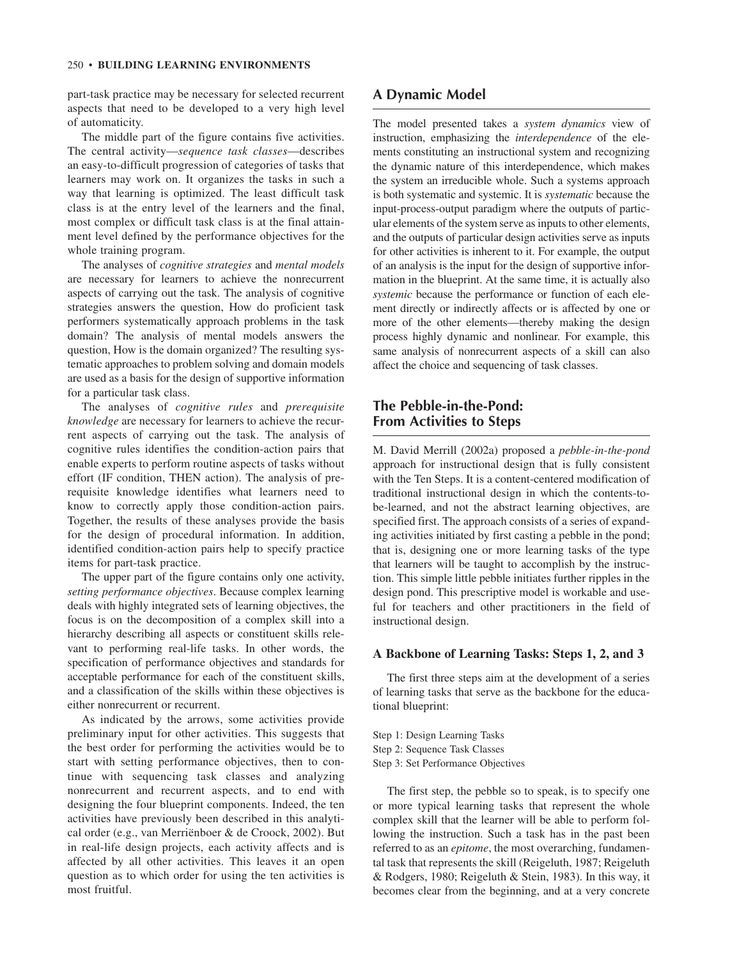part-task practice may be necessary for selected recurrent aspects that need to be developed to a very high level of automaticity.

The middle part of the figure contains five activities. The central activity—*sequence task classes*—describes an easy-to-difficult progression of categories of tasks that learners may work on. It organizes the tasks in such a way that learning is optimized. The least difficult task class is at the entry level of the learners and the final, most complex or difficult task class is at the final attainment level defined by the performance objectives for the whole training program.

The analyses of *cognitive strategies* and *mental models* are necessary for learners to achieve the nonrecurrent aspects of carrying out the task. The analysis of cognitive strategies answers the question, How do proficient task performers systematically approach problems in the task domain? The analysis of mental models answers the question, How is the domain organized? The resulting systematic approaches to problem solving and domain models are used as a basis for the design of supportive information for a particular task class.

The analyses of *cognitive rules* and *prerequisite knowledge* are necessary for learners to achieve the recurrent aspects of carrying out the task. The analysis of cognitive rules identifies the condition-action pairs that enable experts to perform routine aspects of tasks without effort (IF condition, THEN action). The analysis of prerequisite knowledge identifies what learners need to know to correctly apply those condition-action pairs. Together, the results of these analyses provide the basis for the design of procedural information. In addition, identified condition-action pairs help to specify practice items for part-task practice.

The upper part of the figure contains only one activity, *setting performance objectives*. Because complex learning deals with highly integrated sets of learning objectives, the focus is on the decomposition of a complex skill into a hierarchy describing all aspects or constituent skills relevant to performing real-life tasks. In other words, the specification of performance objectives and standards for acceptable performance for each of the constituent skills, and a classification of the skills within these objectives is either nonrecurrent or recurrent.

As indicated by the arrows, some activities provide preliminary input for other activities. This suggests that the best order for performing the activities would be to start with setting performance objectives, then to continue with sequencing task classes and analyzing nonrecurrent and recurrent aspects, and to end with designing the four blueprint components. Indeed, the ten activities have previously been described in this analytical order (e.g., van Merriënboer & de Croock, 2002). But in real-life design projects, each activity affects and is affected by all other activities. This leaves it an open question as to which order for using the ten activities is most fruitful.

## **A Dynamic Model**

The model presented takes a *system dynamics* view of instruction, emphasizing the *interdependence* of the elements constituting an instructional system and recognizing the dynamic nature of this interdependence, which makes the system an irreducible whole. Such a systems approach is both systematic and systemic. It is *systematic* because the input-process-output paradigm where the outputs of particular elements of the system serve as inputs to other elements, and the outputs of particular design activities serve as inputs for other activities is inherent to it. For example, the output of an analysis is the input for the design of supportive information in the blueprint. At the same time, it is actually also *systemic* because the performance or function of each element directly or indirectly affects or is affected by one or more of the other elements—thereby making the design process highly dynamic and nonlinear. For example, this same analysis of nonrecurrent aspects of a skill can also affect the choice and sequencing of task classes.

## **The Pebble-in-the-Pond: From Activities to Steps**

M. David Merrill (2002a) proposed a *pebble-in-the-pond* approach for instructional design that is fully consistent with the Ten Steps. It is a content-centered modification of traditional instructional design in which the contents-tobe-learned, and not the abstract learning objectives, are specified first. The approach consists of a series of expanding activities initiated by first casting a pebble in the pond; that is, designing one or more learning tasks of the type that learners will be taught to accomplish by the instruction. This simple little pebble initiates further ripples in the design pond. This prescriptive model is workable and useful for teachers and other practitioners in the field of instructional design.

#### **A Backbone of Learning Tasks: Steps 1, 2, and 3**

The first three steps aim at the development of a series of learning tasks that serve as the backbone for the educational blueprint:

Step 1: Design Learning Tasks Step 2: Sequence Task Classes Step 3: Set Performance Objectives

The first step, the pebble so to speak, is to specify one or more typical learning tasks that represent the whole complex skill that the learner will be able to perform following the instruction. Such a task has in the past been referred to as an *epitome*, the most overarching, fundamental task that represents the skill (Reigeluth, 1987; Reigeluth & Rodgers, 1980; Reigeluth & Stein, 1983). In this way, it becomes clear from the beginning, and at a very concrete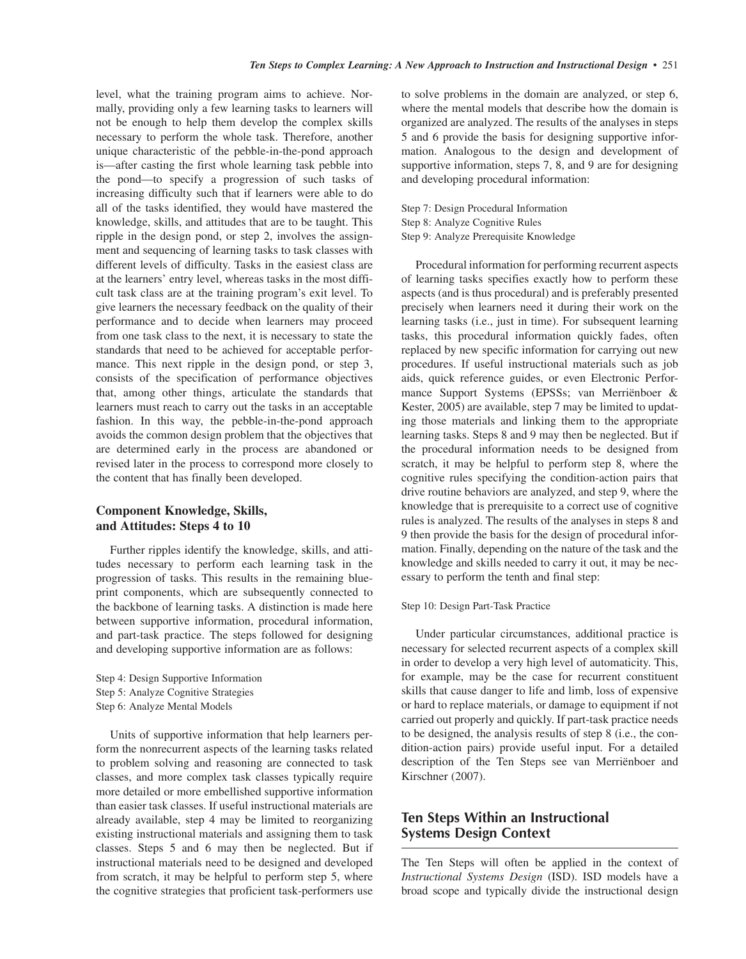level, what the training program aims to achieve. Normally, providing only a few learning tasks to learners will not be enough to help them develop the complex skills necessary to perform the whole task. Therefore, another unique characteristic of the pebble-in-the-pond approach is—after casting the first whole learning task pebble into the pond—to specify a progression of such tasks of increasing difficulty such that if learners were able to do all of the tasks identified, they would have mastered the knowledge, skills, and attitudes that are to be taught. This ripple in the design pond, or step 2, involves the assignment and sequencing of learning tasks to task classes with different levels of difficulty. Tasks in the easiest class are at the learners' entry level, whereas tasks in the most difficult task class are at the training program's exit level. To give learners the necessary feedback on the quality of their performance and to decide when learners may proceed from one task class to the next, it is necessary to state the standards that need to be achieved for acceptable performance. This next ripple in the design pond, or step 3, consists of the specification of performance objectives that, among other things, articulate the standards that learners must reach to carry out the tasks in an acceptable fashion. In this way, the pebble-in-the-pond approach avoids the common design problem that the objectives that are determined early in the process are abandoned or revised later in the process to correspond more closely to the content that has finally been developed.

### **Component Knowledge, Skills, and Attitudes: Steps 4 to 10**

Further ripples identify the knowledge, skills, and attitudes necessary to perform each learning task in the progression of tasks. This results in the remaining blueprint components, which are subsequently connected to the backbone of learning tasks. A distinction is made here between supportive information, procedural information, and part-task practice. The steps followed for designing and developing supportive information are as follows:

Step 4: Design Supportive Information Step 5: Analyze Cognitive Strategies Step 6: Analyze Mental Models

Units of supportive information that help learners perform the nonrecurrent aspects of the learning tasks related to problem solving and reasoning are connected to task classes, and more complex task classes typically require more detailed or more embellished supportive information than easier task classes. If useful instructional materials are already available, step 4 may be limited to reorganizing existing instructional materials and assigning them to task classes. Steps 5 and 6 may then be neglected. But if instructional materials need to be designed and developed from scratch, it may be helpful to perform step 5, where the cognitive strategies that proficient task-performers use

to solve problems in the domain are analyzed, or step 6, where the mental models that describe how the domain is organized are analyzed. The results of the analyses in steps 5 and 6 provide the basis for designing supportive information. Analogous to the design and development of supportive information, steps 7, 8, and 9 are for designing and developing procedural information:

Step 7: Design Procedural Information Step 8: Analyze Cognitive Rules Step 9: Analyze Prerequisite Knowledge

Procedural information for performing recurrent aspects of learning tasks specifies exactly how to perform these aspects (and is thus procedural) and is preferably presented precisely when learners need it during their work on the learning tasks (i.e., just in time). For subsequent learning tasks, this procedural information quickly fades, often replaced by new specific information for carrying out new procedures. If useful instructional materials such as job aids, quick reference guides, or even Electronic Performance Support Systems (EPSSs; van Merriënboer & Kester, 2005) are available, step 7 may be limited to updating those materials and linking them to the appropriate learning tasks. Steps 8 and 9 may then be neglected. But if the procedural information needs to be designed from scratch, it may be helpful to perform step 8, where the cognitive rules specifying the condition-action pairs that drive routine behaviors are analyzed, and step 9, where the knowledge that is prerequisite to a correct use of cognitive rules is analyzed. The results of the analyses in steps 8 and 9 then provide the basis for the design of procedural information. Finally, depending on the nature of the task and the knowledge and skills needed to carry it out, it may be necessary to perform the tenth and final step:

#### Step 10: Design Part-Task Practice

Under particular circumstances, additional practice is necessary for selected recurrent aspects of a complex skill in order to develop a very high level of automaticity. This, for example, may be the case for recurrent constituent skills that cause danger to life and limb, loss of expensive or hard to replace materials, or damage to equipment if not carried out properly and quickly. If part-task practice needs to be designed, the analysis results of step 8 (i.e., the condition-action pairs) provide useful input. For a detailed description of the Ten Steps see van Merriënboer and Kirschner (2007).

## **Ten Steps Within an Instructional Systems Design Context**

The Ten Steps will often be applied in the context of *Instructional Systems Design* (ISD). ISD models have a broad scope and typically divide the instructional design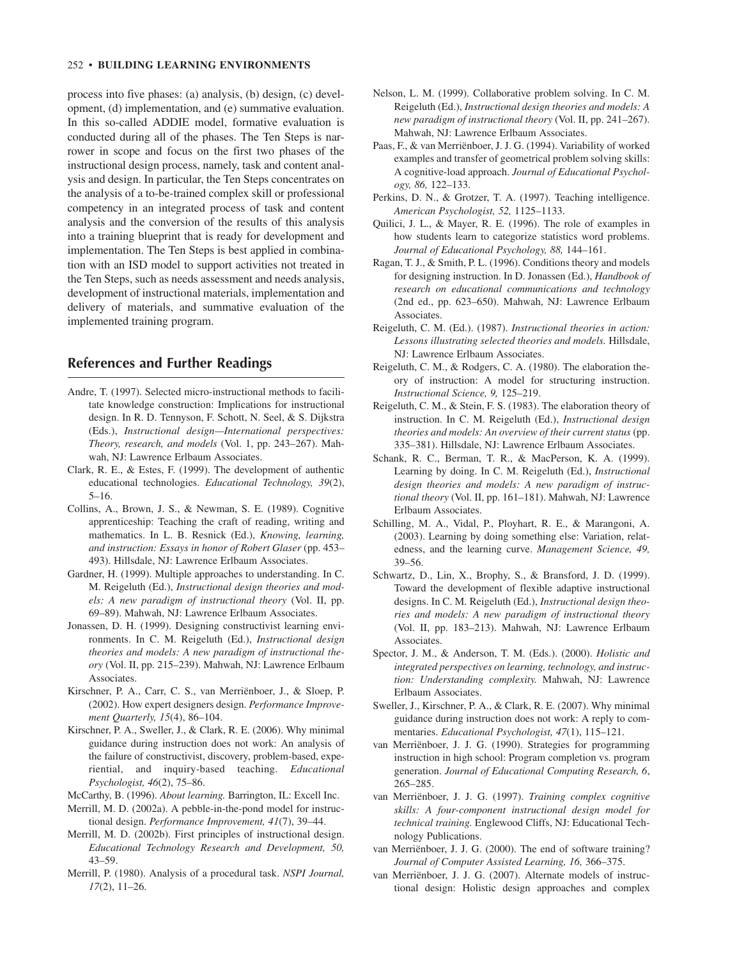process into five phases: (a) analysis, (b) design, (c) development, (d) implementation, and (e) summative evaluation. In this so-called ADDIE model, formative evaluation is conducted during all of the phases. The Ten Steps is narrower in scope and focus on the first two phases of the instructional design process, namely, task and content analysis and design. In particular, the Ten Steps concentrates on the analysis of a to-be-trained complex skill or professional competency in an integrated process of task and content analysis and the conversion of the results of this analysis into a training blueprint that is ready for development and implementation. The Ten Steps is best applied in combination with an ISD model to support activities not treated in the Ten Steps, such as needs assessment and needs analysis, development of instructional materials, implementation and delivery of materials, and summative evaluation of the implemented training program.

## **References and Further Readings**

- Andre, T. (1997). Selected micro-instructional methods to facilitate knowledge construction: Implications for instructional design. In R. D. Tennyson, F. Schott, N. Seel, & S. Dijkstra (Eds.), *Instructional design—International perspectives: Theory, research, and models* (Vol. 1, pp. 243–267). Mahwah, NJ: Lawrence Erlbaum Associates.
- Clark, R. E., & Estes, F. (1999). The development of authentic educational technologies. *Educational Technology, 39*(2), 5–16.
- Collins, A., Brown, J. S., & Newman, S. E. (1989). Cognitive apprenticeship: Teaching the craft of reading, writing and mathematics. In L. B. Resnick (Ed.), *Knowing, learning, and instruction: Essays in honor of Robert Glaser* (pp. 453– 493). Hillsdale, NJ: Lawrence Erlbaum Associates.
- Gardner, H. (1999). Multiple approaches to understanding. In C. M. Reigeluth (Ed.), *Instructional design theories and models: A new paradigm of instructional theory* (Vol. II, pp. 69–89). Mahwah, NJ: Lawrence Erlbaum Associates.
- Jonassen, D. H. (1999). Designing constructivist learning environments. In C. M. Reigeluth (Ed.), *Instructional design theories and models: A new paradigm of instructional theory* (Vol. II, pp. 215–239). Mahwah, NJ: Lawrence Erlbaum Associates.
- Kirschner, P. A., Carr, C. S., van Merriënboer, J., & Sloep, P. (2002). How expert designers design. *Performance Improvement Quarterly, 15*(4), 86–104.
- Kirschner, P. A., Sweller, J., & Clark, R. E. (2006). Why minimal guidance during instruction does not work: An analysis of the failure of constructivist, discovery, problem-based, experiential, and inquiry-based teaching. *Educational Psychologist, 46*(2), 75–86.
- McCarthy, B. (1996). *About learning.* Barrington, IL: Excell Inc.
- Merrill, M. D. (2002a). A pebble-in-the-pond model for instructional design. *Performance Improvement, 41*(7), 39–44.
- Merrill, M. D. (2002b). First principles of instructional design. *Educational Technology Research and Development, 50,* 43–59.
- Merrill, P. (1980). Analysis of a procedural task. *NSPI Journal, 17*(2), 11–26.
- Nelson, L. M. (1999). Collaborative problem solving. In C. M. Reigeluth (Ed.), *Instructional design theories and models: A new paradigm of instructional theory* (Vol. II, pp. 241–267). Mahwah, NJ: Lawrence Erlbaum Associates.
- Paas, F., & van Merriënboer, J. J. G. (1994). Variability of worked examples and transfer of geometrical problem solving skills: A cognitive-load approach. *Journal of Educational Psychology, 86,* 122–133.
- Perkins, D. N., & Grotzer, T. A. (1997). Teaching intelligence. *American Psychologist, 52,* 1125–1133.
- Quilici, J. L., & Mayer, R. E. (1996). The role of examples in how students learn to categorize statistics word problems. *Journal of Educational Psychology, 88,* 144–161.
- Ragan, T. J., & Smith, P. L. (1996). Conditions theory and models for designing instruction. In D. Jonassen (Ed.), *Handbook of research on educational communications and technology* (2nd ed., pp. 623–650). Mahwah, NJ: Lawrence Erlbaum Associates.
- Reigeluth, C. M. (Ed.). (1987). *Instructional theories in action: Lessons illustrating selected theories and models.* Hillsdale, NJ: Lawrence Erlbaum Associates.
- Reigeluth, C. M., & Rodgers, C. A. (1980). The elaboration theory of instruction: A model for structuring instruction. *Instructional Science, 9,* 125–219.
- Reigeluth, C. M., & Stein, F. S. (1983). The elaboration theory of instruction. In C. M. Reigeluth (Ed.), *Instructional design theories and models: An overview of their current status* (pp. 335–381). Hillsdale, NJ: Lawrence Erlbaum Associates.
- Schank, R. C., Berman, T. R., & MacPerson, K. A. (1999). Learning by doing. In C. M. Reigeluth (Ed.), *Instructional design theories and models: A new paradigm of instructional theory* (Vol. II, pp. 161–181). Mahwah, NJ: Lawrence Erlbaum Associates.
- Schilling, M. A., Vidal, P., Ployhart, R. E., & Marangoni, A. (2003). Learning by doing something else: Variation, relatedness, and the learning curve. *Management Science, 49,* 39–56.
- Schwartz, D., Lin, X., Brophy, S., & Bransford, J. D. (1999). Toward the development of flexible adaptive instructional designs. In C. M. Reigeluth (Ed.), *Instructional design theories and models: A new paradigm of instructional theory* (Vol. II, pp. 183–213). Mahwah, NJ: Lawrence Erlbaum Associates.
- Spector, J. M., & Anderson, T. M. (Eds.). (2000). *Holistic and integrated perspectives on learning, technology, and instruction: Understanding complexity.* Mahwah, NJ: Lawrence Erlbaum Associates.
- Sweller, J., Kirschner, P. A., & Clark, R. E. (2007). Why minimal guidance during instruction does not work: A reply to commentaries. *Educational Psychologist, 47*(1), 115–121.
- van Merriënboer, J. J. G. (1990). Strategies for programming instruction in high school: Program completion vs. program generation. *Journal of Educational Computing Research, 6*, 265–285.
- van Merriënboer, J. J. G. (1997). *Training complex cognitive skills: A four-component instructional design model for technical training.* Englewood Cliffs, NJ: Educational Technology Publications.
- van Merriënboer, J. J. G. (2000). The end of software training? *Journal of Computer Assisted Learning, 16,* 366–375.
- van Merriënboer, J. J. G. (2007). Alternate models of instructional design: Holistic design approaches and complex